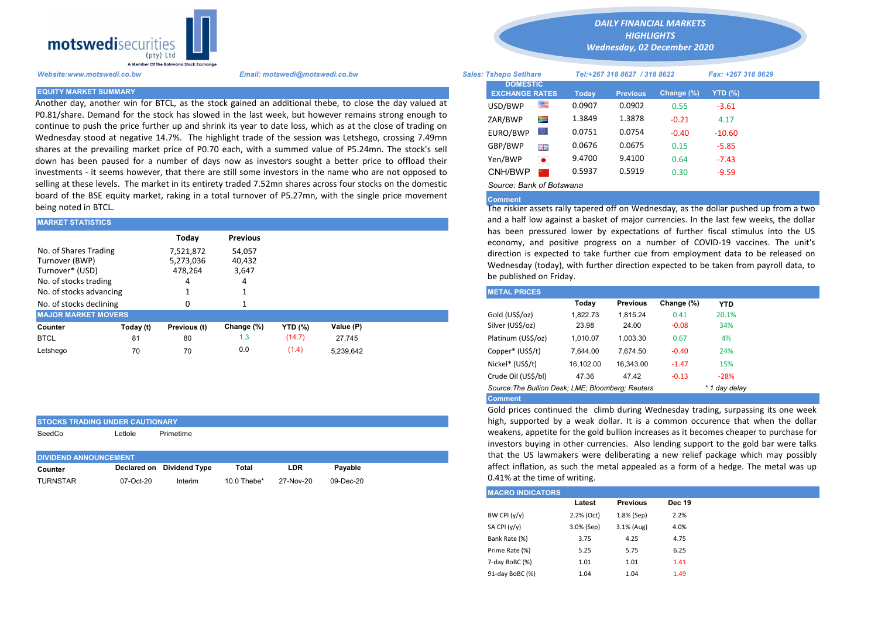

STOCKS TRADING UNDER CAUTIONARY

Another day, another win for BTCL, as the stock gained an additional thebe, to close the day valued at P0.81/share. Demand for the stock has slowed in the last week, but however remains strong enough to continue to push the price further up and shrink its year to date loss, which as at the close of trading on Wednesday stood at negative 14.7%. The highlight trade of the session was Letshego, crossing 7.49mn shares at the prevailing market price of P0.70 each, with a summed value of P5.24mn. The stock's sell down has been paused for a number of days now as investors sought a better price to offload their investments - it seems however, that there are still some investors in the name who are not opposed to selling at these levels. The market in its entirety traded 7.52mn shares across four stocks on the domestic board of the BSE equity market, raking in a total turnover of P5.27mn, with the single price movement being noted in BTCL.

| <b>MARKET STATISTICS</b>                                                            |           |                                   |                           | and a half low against a basket of major currencies. In the last few v |           |  |                                                                                                                                                                     |          |                 |            |            |  |  |  |
|-------------------------------------------------------------------------------------|-----------|-----------------------------------|---------------------------|------------------------------------------------------------------------|-----------|--|---------------------------------------------------------------------------------------------------------------------------------------------------------------------|----------|-----------------|------------|------------|--|--|--|
|                                                                                     |           | Today                             | <b>Previous</b>           |                                                                        |           |  | has been pressured lower by expectations of further fiscal stimu<br>economy, and positive progress on a number of COVID-19 vacc                                     |          |                 |            |            |  |  |  |
| No. of Shares Trading<br>Turnover (BWP)<br>Turnover* (USD)<br>No. of stocks trading |           | 7,521,872<br>5,273,036<br>478.264 | 54,057<br>40,432<br>3,647 |                                                                        |           |  | direction is expected to take further cue from employment data to<br>Wednesday (today), with further direction expected to be taken from<br>be published on Friday. |          |                 |            |            |  |  |  |
| No. of stocks advancing                                                             |           |                                   |                           |                                                                        |           |  | <b>METAL PRICES</b>                                                                                                                                                 |          |                 |            |            |  |  |  |
| No. of stocks declining                                                             |           | n                                 |                           |                                                                        |           |  |                                                                                                                                                                     | Today    | <b>Previous</b> | Change (%) | <b>YTD</b> |  |  |  |
| <b>MAJOR MARKET MOVERS</b>                                                          |           |                                   |                           |                                                                        |           |  | Gold (US\$/oz)                                                                                                                                                      | 1.822.73 | 1.815.24        | 0.41       | 20.1%      |  |  |  |
| Counter                                                                             | Today (t) | Previous (t)                      | Change (%)                | <b>YTD (%)</b>                                                         | Value (P) |  | Silver (US\$/oz)                                                                                                                                                    | 23.98    | 24.00           | $-0.08$    | 34%        |  |  |  |
| <b>BTCL</b>                                                                         | 81        | 80                                | 1.3                       | (14.7)                                                                 | 27.745    |  | Platinum (US\$/oz)                                                                                                                                                  | 1.010.07 | 1.003.30        | 0.67       | 4%         |  |  |  |
| Letshego                                                                            | 70        | 70                                | 0.0                       | (1.4)                                                                  | 5,239,642 |  | Copper* (US\$/t)                                                                                                                                                    | 7,644.00 | 7.674.50        | $-0.40$    | 24%        |  |  |  |
|                                                                                     |           |                                   |                           |                                                                        |           |  |                                                                                                                                                                     |          |                 |            |            |  |  |  |

| SeedCo                       | ∟etlole   | Primetime                 |                |           |           |
|------------------------------|-----------|---------------------------|----------------|-----------|-----------|
| <b>DIVIDEND ANNOUNCEMENT</b> |           |                           |                |           |           |
|                              |           |                           |                |           |           |
| Counter                      |           | Declared on Dividend Type | Total          | LDR       | Pavable   |
| <b>TURNSTAR</b>              | 07-Oct-20 | Interim                   | 10.0 Thebe $*$ | 27-Nov-20 | 09-Dec-20 |

*DAILY FINANCIAL MARKETS HIGHLIGHTS*

*Wednesday, 02 December 2020* 

| Website:www.motswedi.co.bw   | Email: motswedi@motswedi.co.bw                                                                                                                                                                                     | <b>Sales: Tshepo Setlhare</b>            |           |        | Tel:+267 318 8627 / 318 8622 |            | Fax: +267 318 8629 |  |
|------------------------------|--------------------------------------------------------------------------------------------------------------------------------------------------------------------------------------------------------------------|------------------------------------------|-----------|--------|------------------------------|------------|--------------------|--|
| <b>EQUITY MARKET SUMMARY</b> |                                                                                                                                                                                                                    | <b>DOMESTIC</b><br><b>EXCHANGE RATES</b> |           | Today  | <b>Previous</b>              | Change (%) | YTD (%)            |  |
|                              | Another day, another win for BTCL, as the stock gained an additional thebe, to close the day valued at                                                                                                             | USD/BWP                                  | ≝         | 0.0907 | 0.0902                       | 0.55       | $-3.61$            |  |
|                              | 0.81/share. Demand for the stock has slowed in the last week, but however remains strong enough to?                                                                                                                | ZAR/BWP                                  | Ň         | 1.3849 | 1.3878                       | $-0.21$    | 4.17               |  |
|                              | continue to push the price further up and shrink its year to date loss, which as at the close of trading on<br>Mednesday stood at negative 14.7%. The highlight trade of the session was Letshego, crossing 7.49mn | EURO/BWP                                 |           | 0.0751 | 0.0754                       | $-0.40$    | $-10.60$           |  |
|                              | hares at the prevailing market price of P0.70 each, with a summed value of P5.24mn. The stock's sell                                                                                                               | GBP/BWP                                  | 開開        | 0.0676 | 0.0675                       | 0.15       | $-5.85$            |  |
|                              | lown has been paused for a number of days now as investors sought a better price to offload their                                                                                                                  | Yen/BWP                                  | $\bullet$ | 9.4700 | 9.4100                       | 0.64       | $-7.43$            |  |
|                              | nvestments - it seems however, that there are still some investors in the name who are not opposed to                                                                                                              | CNH/BWP                                  |           | 0.5937 | 0.5919                       | 0.30       | $-9.59$            |  |
|                              | elling at these levels. The market in its entirety traded 7.52mn shares across four stocks on the domestic                                                                                                         | Source: Bank of Botswana                 |           |        |                              |            |                    |  |

## Comment

The riskier assets rally tapered off on Wednesday, as the dollar pushed up from a two and a half low against a basket of major currencies. In the last few weeks, the dollar has been pressured lower by expectations of further fiscal stimulus into the US economy, and positive progress on a number of COVID-19 vaccines. The unit's direction is expected to take further cue from employment data to be released on Wednesday (today), with further direction expected to be taken from payroll data, to be published on Friday.

| <b>METAL PRICES</b>                                                |           |                 |            |            |  |  |  |  |
|--------------------------------------------------------------------|-----------|-----------------|------------|------------|--|--|--|--|
|                                                                    | Today     | <b>Previous</b> | Change (%) | <b>YTD</b> |  |  |  |  |
| Gold (US\$/oz)                                                     | 1.822.73  | 1.815.24        | 0.41       | 20.1%      |  |  |  |  |
| Silver (US\$/oz)                                                   | 23.98     | 24.00           | $-0.08$    | 34%        |  |  |  |  |
| Platinum (US\$/oz)                                                 | 1.010.07  | 1.003.30        | 0.67       | 4%         |  |  |  |  |
| Copper* (US\$/t)                                                   | 7.644.00  | 7.674.50        | $-0.40$    | 24%        |  |  |  |  |
| Nickel* (US\$/t)                                                   | 16,102.00 | 16.343.00       | $-1.47$    | 15%        |  |  |  |  |
| Crude Oil (US\$/bl)                                                | 47.36     | 47.42           | $-0.13$    | $-28%$     |  |  |  |  |
| Source: The Bullion Desk: LME: Bloomberg: Reuters<br>* 1 day delay |           |                 |            |            |  |  |  |  |
| <b>Comment</b>                                                     |           |                 |            |            |  |  |  |  |

Gold prices continued the climb during Wednesday trading, surpassing its one week high, supported by a weak dollar. It is a common occurence that when the dollar weakens, appetite for the gold bullion increases as it becomes cheaper to purchase for investors buying in other currencies. Also lending support to the gold bar were talks that the US lawmakers were deliberating a new relief package which may possibly affect inflation, as such the metal appealed as a form of a hedge. The metal was up 0.41% at the time of writing.

| <b>MACRO INDICATORS</b> |            |                 |               |
|-------------------------|------------|-----------------|---------------|
|                         | Latest     | <b>Previous</b> | <b>Dec 19</b> |
| BW CPI $(y/y)$          | 2.2% (Oct) | 1.8% (Sep)      | 2.2%          |
| SA CPI (y/y)            | 3.0% (Sep) | 3.1% (Aug)      | 4.0%          |
| Bank Rate (%)           | 3.75       | 4.25            | 4.75          |
| Prime Rate (%)          | 5.25       | 5.75            | 6.25          |
| 7-day BoBC (%)          | 1.01       | 1.01            | 1.41          |
| 91-day BoBC (%)         | 1.04       | 1.04            | 1.49          |